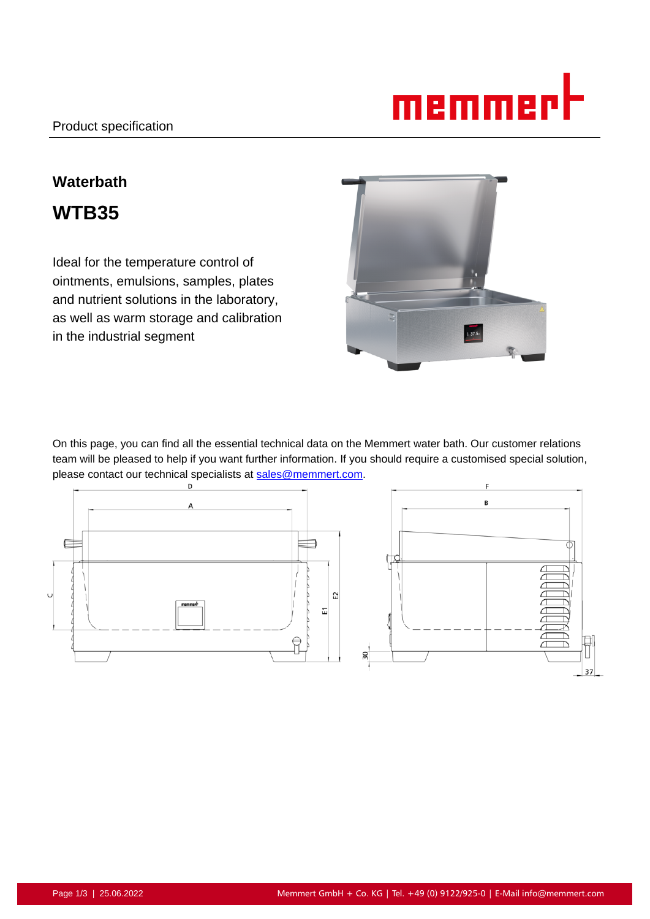

# **Waterbath WTB35**

Ideal for the temperature control of ointments, emulsions, samples, plates and nutrient solutions in the laboratory, as well as warm storage and calibration in the industrial segment



On this page, you can find all the essential technical data on the Memmert water bath. Our customer relations team will be pleased to help if you want further information. If you should require a customised special solution, please contact our technical specialists at sales@memmert.com.

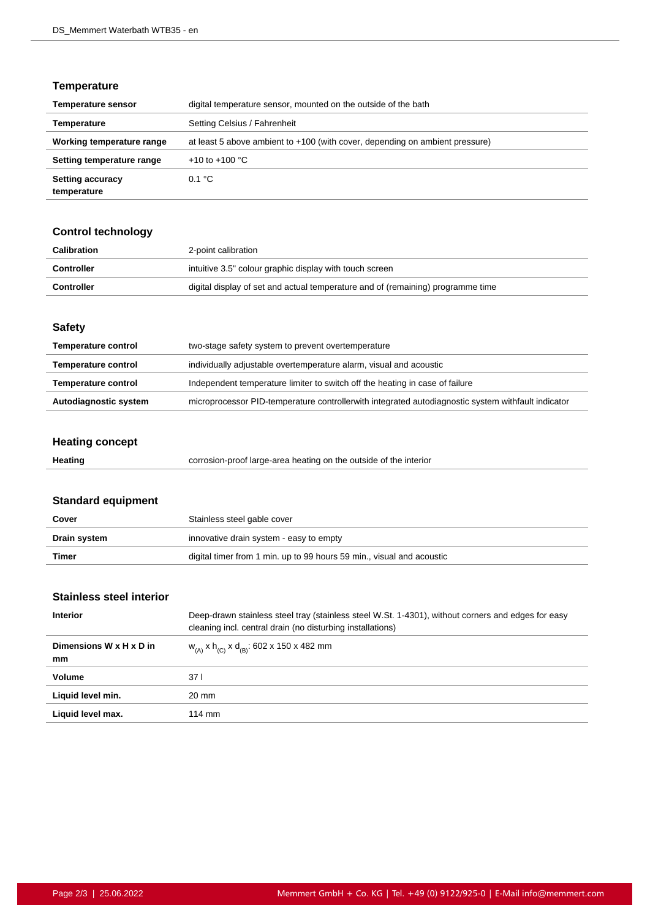## **Temperature**

| <b>Temperature sensor</b>              | digital temperature sensor, mounted on the outside of the bath               |
|----------------------------------------|------------------------------------------------------------------------------|
| Temperature                            | Setting Celsius / Fahrenheit                                                 |
| Working temperature range              | at least 5 above ambient to +100 (with cover, depending on ambient pressure) |
| Setting temperature range              | +10 to +100 $^{\circ}$ C                                                     |
| <b>Setting accuracy</b><br>temperature | 0.1 °C                                                                       |

## **Control technology**

| Calibration       | 2-point calibration                                                             |
|-------------------|---------------------------------------------------------------------------------|
| Controller        | intuitive 3.5" colour graphic display with touch screen                         |
| <b>Controller</b> | digital display of set and actual temperature and of (remaining) programme time |

#### **Safety**

| Autodiagnostic system      | microprocessor PID-temperature controllerwith integrated autodiagnostic system withfault indicator |
|----------------------------|----------------------------------------------------------------------------------------------------|
| <b>Temperature control</b> | Independent temperature limiter to switch off the heating in case of failure                       |
| <b>Temperature control</b> | individually adjustable overtemperature alarm, visual and acoustic                                 |
| <b>Temperature control</b> | two-stage safety system to prevent overtemperature                                                 |

# **Heating concept**

| Heating | corrosion-proof large-area heating on the outside of the interior |
|---------|-------------------------------------------------------------------|
|---------|-------------------------------------------------------------------|

# **Standard equipment**

| Cover        | Stainless steel gable cover                                           |
|--------------|-----------------------------------------------------------------------|
| Drain system | innovative drain system - easy to empty                               |
| Timer        | digital timer from 1 min. up to 99 hours 59 min., visual and acoustic |

## **Stainless steel interior**

| <b>Interior</b>               | Deep-drawn stainless steel tray (stainless steel W.St. 1-4301), without corners and edges for easy<br>cleaning incl. central drain (no disturbing installations) |
|-------------------------------|------------------------------------------------------------------------------------------------------------------------------------------------------------------|
| Dimensions W x H x D in<br>mm | $W_{(A)}$ x h <sub>(C)</sub> x d <sub>(B)</sub> : 602 x 150 x 482 mm                                                                                             |
| Volume                        | 37 I                                                                                                                                                             |
| Liquid level min.             | 20 mm                                                                                                                                                            |
| Liquid level max.             | $114 \text{ mm}$                                                                                                                                                 |
|                               |                                                                                                                                                                  |